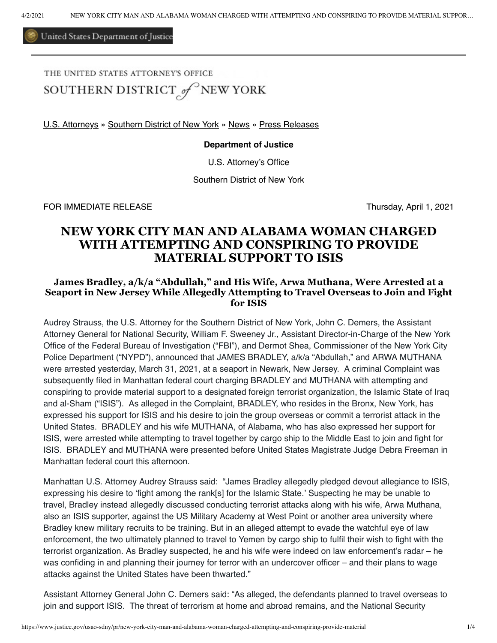United States Department of Justice

THE UNITED STATES ATTORNEY'S OFFICE

SOUTHERN DISTRICT of NEW YORK

[U.S. Attorneys](https://www.justice.gov/usao) » [Southern District of New York](https://www.justice.gov/usao-sdny) » [News](https://www.justice.gov/usao-sdny/news) » [Press Releases](https://www.justice.gov/usao-sdny/pr)

**Department of Justice**

U.S. Attorney's Office

Southern District of New York

FOR IMMEDIATE RELEASE Thursday, April 1, 2021

# **NEW YORK CITY MAN AND ALABAMA WOMAN CHARGED WITH ATTEMPTING AND CONSPIRING TO PROVIDE MATERIAL SUPPORT TO ISIS**

## **James Bradley, a/k/a "Abdullah," and His Wife, Arwa Muthana, Were Arrested at a Seaport in New Jersey While Allegedly Attempting to Travel Overseas to Join and Fight for ISIS**

Audrey Strauss, the U.S. Attorney for the Southern District of New York, John C. Demers, the Assistant Attorney General for National Security, William F. Sweeney Jr., Assistant Director-in-Charge of the New York Office of the Federal Bureau of Investigation ("FBI"), and Dermot Shea, Commissioner of the New York City Police Department ("NYPD"), announced that JAMES BRADLEY, a/k/a "Abdullah," and ARWA MUTHANA were arrested yesterday, March 31, 2021, at a seaport in Newark, New Jersey. A criminal Complaint was subsequently filed in Manhattan federal court charging BRADLEY and MUTHANA with attempting and conspiring to provide material support to a designated foreign terrorist organization, the Islamic State of Iraq and al-Sham ("ISIS"). As alleged in the Complaint, BRADLEY, who resides in the Bronx, New York, has expressed his support for ISIS and his desire to join the group overseas or commit a terrorist attack in the United States. BRADLEY and his wife MUTHANA, of Alabama, who has also expressed her support for ISIS, were arrested while attempting to travel together by cargo ship to the Middle East to join and fight for ISIS. BRADLEY and MUTHANA were presented before United States Magistrate Judge Debra Freeman in Manhattan federal court this afternoon.

Manhattan U.S. Attorney Audrey Strauss said: "James Bradley allegedly pledged devout allegiance to ISIS, expressing his desire to 'fight among the rank[s] for the Islamic State.' Suspecting he may be unable to travel, Bradley instead allegedly discussed conducting terrorist attacks along with his wife, Arwa Muthana, also an ISIS supporter, against the US Military Academy at West Point or another area university where Bradley knew military recruits to be training. But in an alleged attempt to evade the watchful eye of law enforcement, the two ultimately planned to travel to Yemen by cargo ship to fulfil their wish to fight with the terrorist organization. As Bradley suspected, he and his wife were indeed on law enforcement's radar – he was confiding in and planning their journey for terror with an undercover officer – and their plans to wage attacks against the United States have been thwarted."

Assistant Attorney General John C. Demers said: "As alleged, the defendants planned to travel overseas to join and support ISIS. The threat of terrorism at home and abroad remains, and the National Security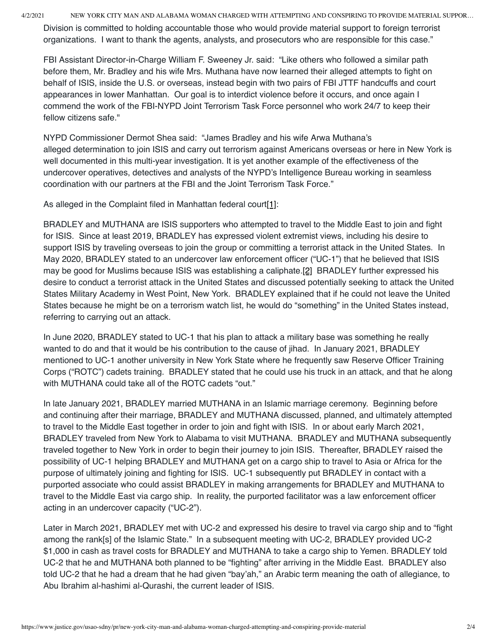4/2/2021 NEW YORK CITY MAN AND ALABAMA WOMAN CHARGED WITH ATTEMPTING AND CONSPIRING TO PROVIDE MATERIAL SUPPOR…

Division is committed to holding accountable those who would provide material support to foreign terrorist organizations. I want to thank the agents, analysts, and prosecutors who are responsible for this case."

FBI Assistant Director-in-Charge William F. Sweeney Jr. said: "Like others who followed a similar path before them, Mr. Bradley and his wife Mrs. Muthana have now learned their alleged attempts to fight on behalf of ISIS, inside the U.S. or overseas, instead begin with two pairs of FBI JTTF handcuffs and court appearances in lower Manhattan. Our goal is to interdict violence before it occurs, and once again I commend the work of the FBI-NYPD Joint Terrorism Task Force personnel who work 24/7 to keep their fellow citizens safe."

NYPD Commissioner Dermot Shea said: "James Bradley and his wife Arwa Muthana's alleged determination to join ISIS and carry out terrorism against Americans overseas or here in New York is well documented in this multi-year investigation. It is yet another example of the effectiveness of the undercover operatives, detectives and analysts of the NYPD's Intelligence Bureau working in seamless coordination with our partners at the FBI and the Joint Terrorism Task Force."

<span id="page-1-0"></span>As alleged in the Complaint filed in Manhattan federal court[\[1\]](#page-2-0):

<span id="page-1-1"></span>BRADLEY and MUTHANA are ISIS supporters who attempted to travel to the Middle East to join and fight for ISIS. Since at least 2019, BRADLEY has expressed violent extremist views, including his desire to support ISIS by traveling overseas to join the group or committing a terrorist attack in the United States. In May 2020, BRADLEY stated to an undercover law enforcement officer ("UC-1") that he believed that ISIS may be good for Muslims because ISIS was establishing a caliphate.[\[2\]](#page-2-1)  BRADLEY further expressed his desire to conduct a terrorist attack in the United States and discussed potentially seeking to attack the United States Military Academy in West Point, New York. BRADLEY explained that if he could not leave the United States because he might be on a terrorism watch list, he would do "something" in the United States instead, referring to carrying out an attack.

In June 2020, BRADLEY stated to UC-1 that his plan to attack a military base was something he really wanted to do and that it would be his contribution to the cause of jihad. In January 2021, BRADLEY mentioned to UC-1 another university in New York State where he frequently saw Reserve Officer Training Corps ("ROTC") cadets training. BRADLEY stated that he could use his truck in an attack, and that he along with MUTHANA could take all of the ROTC cadets "out."

In late January 2021, BRADLEY married MUTHANA in an Islamic marriage ceremony. Beginning before and continuing after their marriage, BRADLEY and MUTHANA discussed, planned, and ultimately attempted to travel to the Middle East together in order to join and fight with ISIS. In or about early March 2021, BRADLEY traveled from New York to Alabama to visit MUTHANA. BRADLEY and MUTHANA subsequently traveled together to New York in order to begin their journey to join ISIS. Thereafter, BRADLEY raised the possibility of UC-1 helping BRADLEY and MUTHANA get on a cargo ship to travel to Asia or Africa for the purpose of ultimately joining and fighting for ISIS. UC-1 subsequently put BRADLEY in contact with a purported associate who could assist BRADLEY in making arrangements for BRADLEY and MUTHANA to travel to the Middle East via cargo ship. In reality, the purported facilitator was a law enforcement officer acting in an undercover capacity ("UC-2").

Later in March 2021, BRADLEY met with UC-2 and expressed his desire to travel via cargo ship and to "fight among the rank[s] of the Islamic State." In a subsequent meeting with UC-2, BRADLEY provided UC-2 \$1,000 in cash as travel costs for BRADLEY and MUTHANA to take a cargo ship to Yemen. BRADLEY told UC-2 that he and MUTHANA both planned to be "fighting" after arriving in the Middle East. BRADLEY also told UC-2 that he had a dream that he had given "bay'ah," an Arabic term meaning the oath of allegiance, to Abu Ibrahim al-hashimi al-Qurashi, the current leader of ISIS.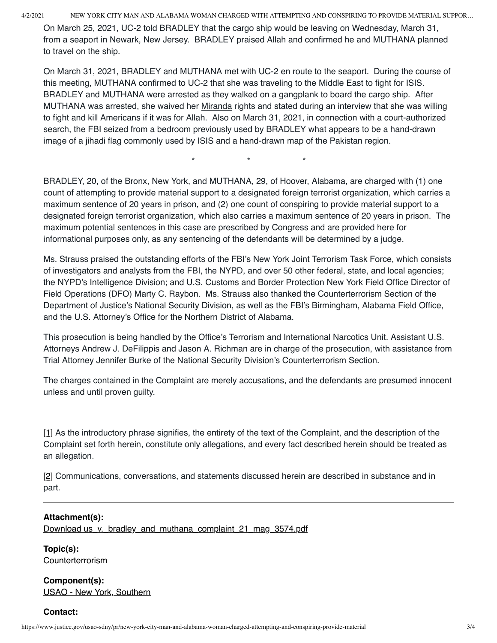4/2/2021 NEW YORK CITY MAN AND ALABAMA WOMAN CHARGED WITH ATTEMPTING AND CONSPIRING TO PROVIDE MATERIAL SUPPOR…

On March 25, 2021, UC-2 told BRADLEY that the cargo ship would be leaving on Wednesday, March 31, from a seaport in Newark, New Jersey. BRADLEY praised Allah and confirmed he and MUTHANA planned to travel on the ship.

On March 31, 2021, BRADLEY and MUTHANA met with UC-2 en route to the seaport. During the course of this meeting, MUTHANA confirmed to UC-2 that she was traveling to the Middle East to fight for ISIS. BRADLEY and MUTHANA were arrested as they walked on a gangplank to board the cargo ship. After MUTHANA was arrested, she waived her Miranda rights and stated during an interview that she was willing to fight and kill Americans if it was for Allah. Also on March 31, 2021, in connection with a court-authorized search, the FBI seized from a bedroom previously used by BRADLEY what appears to be a hand-drawn image of a jihadi flag commonly used by ISIS and a hand-drawn map of the Pakistan region.

 $\star$   $\star$   $\star$   $\star$ 

BRADLEY, 20, of the Bronx, New York, and MUTHANA, 29, of Hoover, Alabama, are charged with (1) one count of attempting to provide material support to a designated foreign terrorist organization, which carries a maximum sentence of 20 years in prison, and (2) one count of conspiring to provide material support to a designated foreign terrorist organization, which also carries a maximum sentence of 20 years in prison. The maximum potential sentences in this case are prescribed by Congress and are provided here for informational purposes only, as any sentencing of the defendants will be determined by a judge.

Ms. Strauss praised the outstanding efforts of the FBI's New York Joint Terrorism Task Force, which consists of investigators and analysts from the FBI, the NYPD, and over 50 other federal, state, and local agencies; the NYPD's Intelligence Division; and U.S. Customs and Border Protection New York Field Office Director of Field Operations (DFO) Marty C. Raybon. Ms. Strauss also thanked the Counterterrorism Section of the Department of Justice's National Security Division, as well as the FBI's Birmingham, Alabama Field Office, and the U.S. Attorney's Office for the Northern District of Alabama.

This prosecution is being handled by the Office's Terrorism and International Narcotics Unit. Assistant U.S. Attorneys Andrew J. DeFilippis and Jason A. Richman are in charge of the prosecution, with assistance from Trial Attorney Jennifer Burke of the National Security Division's Counterterrorism Section.

The charges contained in the Complaint are merely accusations, and the defendants are presumed innocent unless and until proven guilty.

<span id="page-2-0"></span>[\[1\]](#page-1-0) As the introductory phrase signifies, the entirety of the text of the Complaint, and the description of the Complaint set forth herein, constitute only allegations, and every fact described herein should be treated as an allegation.

<span id="page-2-1"></span>[\[2\]](#page-1-1) Communications, conversations, and statements discussed herein are described in substance and in part.

## **Attachment(s):**

Download us\_v. bradley\_and\_muthana\_complaint\_21\_mag\_3574.pdf

**Topic(s):**  Counterterrorism

**Component(s):**  [USAO - New York, Southern](http://www.justice.gov/usao-sdny)

#### **Contact:**